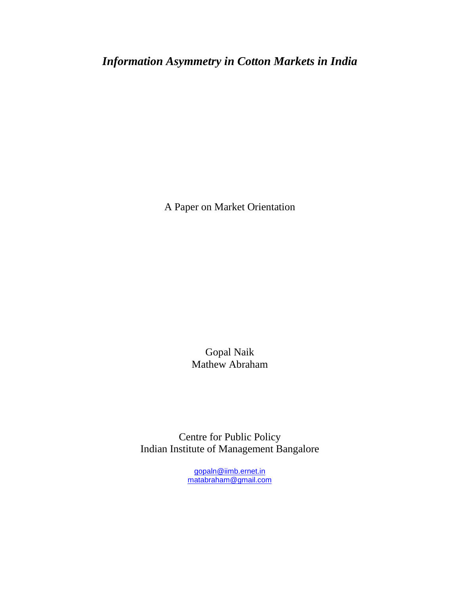*Information Asymmetry in Cotton Markets in India* 

A Paper on Market Orientation

Gopal Naik Mathew Abraham

Centre for Public Policy Indian Institute of Management Bangalore

> gopaln@iimb.ernet.in matabraham@gmail.com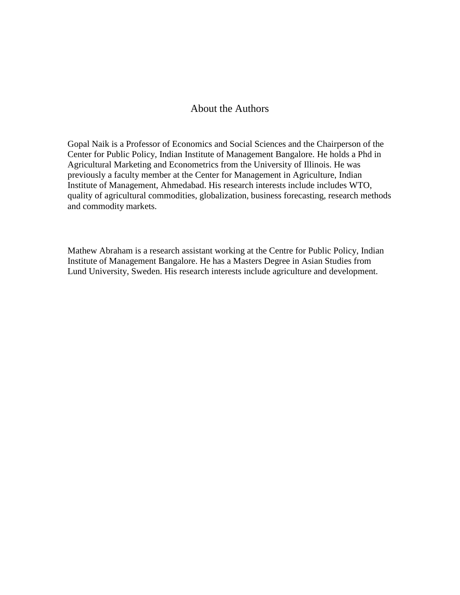### About the Authors

Gopal Naik is a Professor of Economics and Social Sciences and the Chairperson of the Center for Public Policy, Indian Institute of Management Bangalore. He holds a Phd in Agricultural Marketing and Econometrics from the University of Illinois. He was previously a faculty member at the Center for Management in Agriculture, Indian Institute of Management, Ahmedabad. His research interests include includes WTO, quality of agricultural commodities, globalization, business forecasting, research methods and commodity markets.

Mathew Abraham is a research assistant working at the Centre for Public Policy, Indian Institute of Management Bangalore. He has a Masters Degree in Asian Studies from Lund University, Sweden. His research interests include agriculture and development.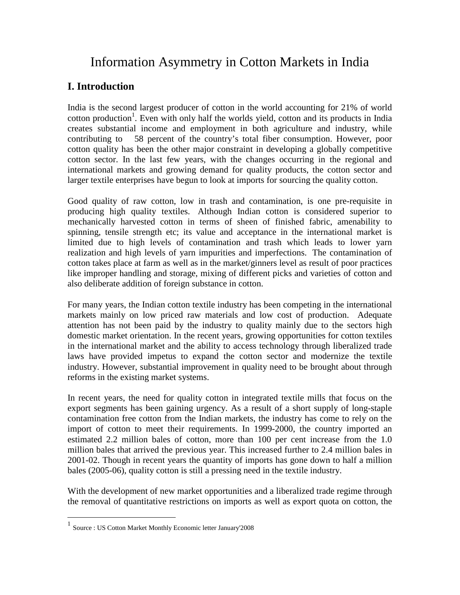# Information Asymmetry in Cotton Markets in India

# **I. Introduction**

India is the second largest producer of cotton in the world accounting for 21% of world cotton production<sup>1</sup>. Even with only half the worlds yield, cotton and its products in India creates substantial income and employment in both agriculture and industry, while contributing to 58 percent of the country's total fiber consumption. However, poor cotton quality has been the other major constraint in developing a globally competitive cotton sector. In the last few years, with the changes occurring in the regional and international markets and growing demand for quality products, the cotton sector and larger textile enterprises have begun to look at imports for sourcing the quality cotton.

Good quality of raw cotton, low in trash and contamination, is one pre-requisite in producing high quality textiles. Although Indian cotton is considered superior to mechanically harvested cotton in terms of sheen of finished fabric, amenability to spinning, tensile strength etc; its value and acceptance in the international market is limited due to high levels of contamination and trash which leads to lower yarn realization and high levels of yarn impurities and imperfections. The contamination of cotton takes place at farm as well as in the market/ginners level as result of poor practices like improper handling and storage, mixing of different picks and varieties of cotton and also deliberate addition of foreign substance in cotton.

For many years, the Indian cotton textile industry has been competing in the international markets mainly on low priced raw materials and low cost of production. Adequate attention has not been paid by the industry to quality mainly due to the sectors high domestic market orientation. In the recent years, growing opportunities for cotton textiles in the international market and the ability to access technology through liberalized trade laws have provided impetus to expand the cotton sector and modernize the textile industry. However, substantial improvement in quality need to be brought about through reforms in the existing market systems.

In recent years, the need for quality cotton in integrated textile mills that focus on the export segments has been gaining urgency. As a result of a short supply of long-staple contamination free cotton from the Indian markets, the industry has come to rely on the import of cotton to meet their requirements. In 1999-2000, the country imported an estimated 2.2 million bales of cotton, more than 100 per cent increase from the 1.0 million bales that arrived the previous year. This increased further to 2.4 million bales in 2001-02. Though in recent years the quantity of imports has gone down to half a million bales (2005-06), quality cotton is still a pressing need in the textile industry.

With the development of new market opportunities and a liberalized trade regime through the removal of quantitative restrictions on imports as well as export quota on cotton, the

 1 Source : US Cotton Market Monthly Economic letter January'2008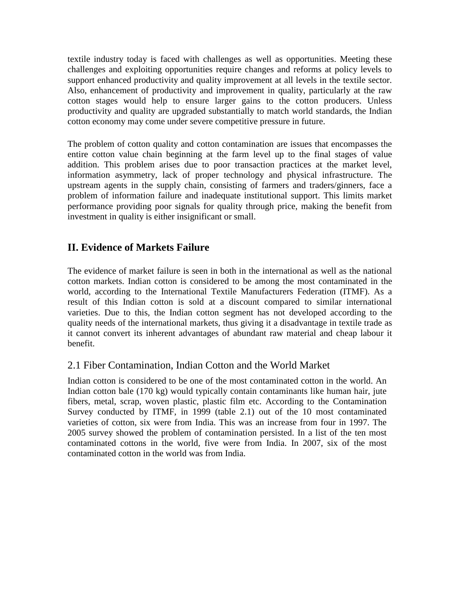textile industry today is faced with challenges as well as opportunities. Meeting these challenges and exploiting opportunities require changes and reforms at policy levels to support enhanced productivity and quality improvement at all levels in the textile sector. Also, enhancement of productivity and improvement in quality, particularly at the raw cotton stages would help to ensure larger gains to the cotton producers. Unless productivity and quality are upgraded substantially to match world standards, the Indian cotton economy may come under severe competitive pressure in future.

The problem of cotton quality and cotton contamination are issues that encompasses the entire cotton value chain beginning at the farm level up to the final stages of value addition. This problem arises due to poor transaction practices at the market level, information asymmetry, lack of proper technology and physical infrastructure. The upstream agents in the supply chain, consisting of farmers and traders/ginners, face a problem of information failure and inadequate institutional support. This limits market performance providing poor signals for quality through price, making the benefit from investment in quality is either insignificant or small.

# **II. Evidence of Markets Failure**

The evidence of market failure is seen in both in the international as well as the national cotton markets. Indian cotton is considered to be among the most contaminated in the world, according to the International Textile Manufacturers Federation (ITMF). As a result of this Indian cotton is sold at a discount compared to similar international varieties. Due to this, the Indian cotton segment has not developed according to the quality needs of the international markets, thus giving it a disadvantage in textile trade as it cannot convert its inherent advantages of abundant raw material and cheap labour it benefit.

# 2.1 Fiber Contamination, Indian Cotton and the World Market

Indian cotton is considered to be one of the most contaminated cotton in the world. An Indian cotton bale (170 kg) would typically contain contaminants like human hair, jute fibers, metal, scrap, woven plastic, plastic film etc. According to the Contamination Survey conducted by ITMF, in 1999 (table 2.1) out of the 10 most contaminated varieties of cotton, six were from India. This was an increase from four in 1997. The 2005 survey showed the problem of contamination persisted. In a list of the ten most contaminated cottons in the world, five were from India. In 2007, six of the most contaminated cotton in the world was from India.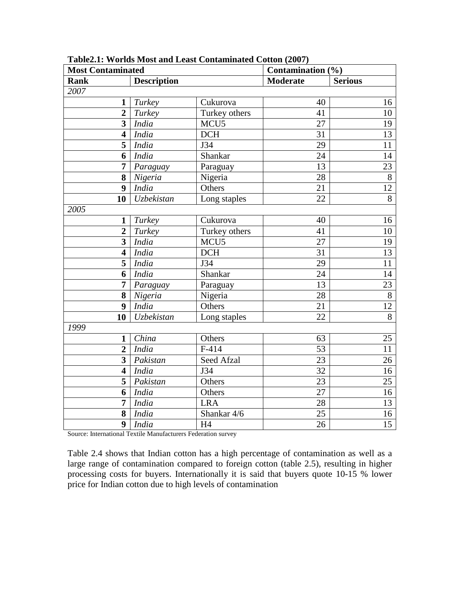| <b>Most Contaminated</b> |                    |                  | Contamination (%) |                 |  |
|--------------------------|--------------------|------------------|-------------------|-----------------|--|
| <b>Rank</b>              | <b>Description</b> |                  | <b>Moderate</b>   | <b>Serious</b>  |  |
| 2007                     |                    |                  |                   |                 |  |
| 1                        | Turkey             | Cukurova         | 40                | 16              |  |
| $\overline{2}$           | Turkey             | Turkey others    | 41                | 10              |  |
| $\overline{\mathbf{3}}$  | India              | MCU <sub>5</sub> | 27                | 19              |  |
| 4                        | India              | <b>DCH</b>       | 31                | 13              |  |
| 5                        | India              | J34              | $\overline{29}$   | 11              |  |
| 6                        | India              | Shankar          | 24                | 14              |  |
| $\overline{7}$           | Paraguay           | Paraguay         | 13                | 23              |  |
| 8                        | Nigeria            | Nigeria          | $\overline{28}$   | $8$             |  |
| $\boldsymbol{9}$         | India              | Others           | 21                | 12              |  |
| 10                       | Uzbekistan         | Long staples     | 22                | $\overline{8}$  |  |
| 2005                     |                    |                  |                   |                 |  |
| 1                        | Turkey             | Cukurova         | 40                | 16              |  |
| $\overline{2}$           | Turkey             | Turkey others    | 41                | 10              |  |
| $\overline{\mathbf{3}}$  | India              | MCU <sub>5</sub> | $\overline{27}$   | 19              |  |
| $\overline{\mathbf{4}}$  | <b>India</b>       | DCH              | $\overline{31}$   | $\overline{13}$ |  |
| $\overline{\mathbf{5}}$  | India              | J34              | $\overline{29}$   | 11              |  |
| 6                        | India              | Shankar          | $\overline{24}$   | 14              |  |
| 7                        | Paraguay           | Paraguay         | $\overline{13}$   | 23              |  |
| 8                        | Nigeria            | Nigeria          | 28                | $8\,$           |  |
| 9                        | India              | Others           | 21                | 12              |  |
| 10                       | Uzbekistan         | Long staples     | $\overline{22}$   | $\overline{8}$  |  |
| 1999                     |                    |                  |                   |                 |  |
| $\mathbf{1}$             | China              | Others           | 63                | 25              |  |
| $\overline{2}$           | India              | $F-414$          | 53                | 11              |  |
| $\overline{\mathbf{3}}$  | Pakistan           | Seed Afzal       | $\overline{23}$   | 26              |  |
| $\overline{\mathbf{4}}$  | India              | J34              | $\overline{32}$   | 16              |  |
| $\overline{\mathbf{5}}$  | Pakistan           | Others           | 23                | 25              |  |
| 6                        | India              | Others           | $\overline{27}$   | 16              |  |
| 7                        | India              | <b>LRA</b>       | 28                | 13              |  |
| 8                        | <b>India</b>       | Shankar 4/6      | $\overline{25}$   | 16              |  |
| 9                        | India              | H4               | 26                | $\overline{15}$ |  |

**Table2.1: Worlds Most and Least Contaminated Cotton (2007)** 

Source: International Textile Manufacturers Federation survey

Table 2.4 shows that Indian cotton has a high percentage of contamination as well as a large range of contamination compared to foreign cotton (table 2.5), resulting in higher processing costs for buyers. Internationally it is said that buyers quote 10-15 % lower price for Indian cotton due to high levels of contamination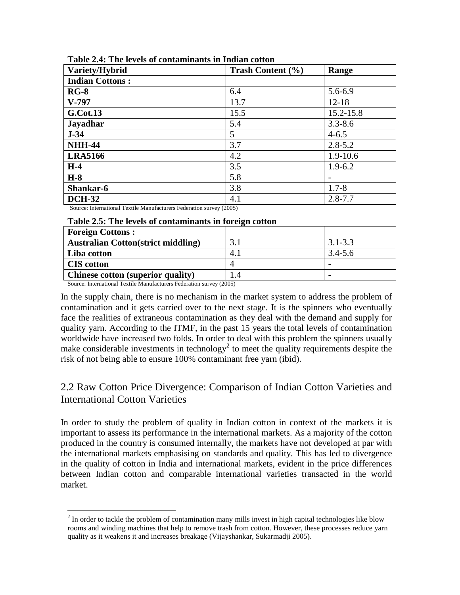| Variety/Hybrid         | Trash Content (%) | Range        |
|------------------------|-------------------|--------------|
| <b>Indian Cottons:</b> |                   |              |
| $RG-8$                 | 6.4               | 5.6-6.9      |
| $V-797$                | 13.7              | $12 - 18$    |
| <b>G.Cot.13</b>        | 15.5              | 15.2-15.8    |
| <b>Jayadhar</b>        | 5.4               | $3.3 - 8.6$  |
| $J-34$                 | 5 <sup>5</sup>    | $4 - 6.5$    |
| <b>NHH-44</b>          | 3.7               | $2.8 - 5.2$  |
| <b>LRA5166</b>         | 4.2               | $1.9 - 10.6$ |
| $H-4$                  | 3.5               | $1.9 - 6.2$  |
| $H-8$                  | 5.8               |              |
| Shankar-6              | 3.8               | $1.7 - 8$    |
| <b>DCH-32</b>          | 4.1               | $2.8 - 7.7$  |

Source: International Textile Manufacturers Federation survey (2005)

#### **Table 2.5: The levels of contaminants in foreign cotton**

| <b>Foreign Cottons:</b>                   |     |             |
|-------------------------------------------|-----|-------------|
| <b>Australian Cotton(strict middling)</b> | 3.  | $3.1 - 3.3$ |
| Liba cotton                               | 4.1 | $3.4 - 5.6$ |
| <b>CIS</b> cotton                         |     |             |
| Chinese cotton (superior quality)         | 1.4 |             |

Source: International Textile Manufacturers Federation survey (2005)

In the supply chain, there is no mechanism in the market system to address the problem of contamination and it gets carried over to the next stage. It is the spinners who eventually face the realities of extraneous contamination as they deal with the demand and supply for quality yarn. According to the ITMF, in the past 15 years the total levels of contamination worldwide have increased two folds. In order to deal with this problem the spinners usually make considerable investments in technology<sup>2</sup> to meet the quality requirements despite the risk of not being able to ensure 100% contaminant free yarn (ibid).

# 2.2 Raw Cotton Price Divergence: Comparison of Indian Cotton Varieties and International Cotton Varieties

In order to study the problem of quality in Indian cotton in context of the markets it is important to assess its performance in the international markets. As a majority of the cotton produced in the country is consumed internally, the markets have not developed at par with the international markets emphasising on standards and quality. This has led to divergence in the quality of cotton in India and international markets, evident in the price differences between Indian cotton and comparable international varieties transacted in the world market.

<sup>&</sup>lt;sup>2</sup> In order to tackle the problem of contamination many mills invest in high capital technologies like blow rooms and winding machines that help to remove trash from cotton. However, these processes reduce yarn quality as it weakens it and increases breakage (Vijayshankar, Sukarmadji 2005).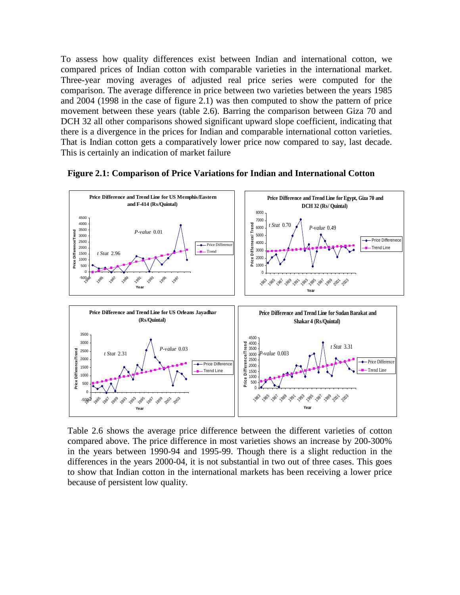To assess how quality differences exist between Indian and international cotton, we compared prices of Indian cotton with comparable varieties in the international market. Three-year moving averages of adjusted real price series were computed for the comparison. The average difference in price between two varieties between the years 1985 and 2004 (1998 in the case of figure 2.1) was then computed to show the pattern of price movement between these years (table 2.6). Barring the comparison between Giza 70 and DCH 32 all other comparisons showed significant upward slope coefficient, indicating that there is a divergence in the prices for Indian and comparable international cotton varieties. That is Indian cotton gets a comparatively lower price now compared to say, last decade. This is certainly an indication of market failure



**Figure 2.1: Comparison of Price Variations for Indian and International Cotton** 

Table 2.6 shows the average price difference between the different varieties of cotton compared above. The price difference in most varieties shows an increase by 200-300% in the years between 1990-94 and 1995-99. Though there is a slight reduction in the differences in the years 2000-04, it is not substantial in two out of three cases. This goes to show that Indian cotton in the international markets has been receiving a lower price because of persistent low quality.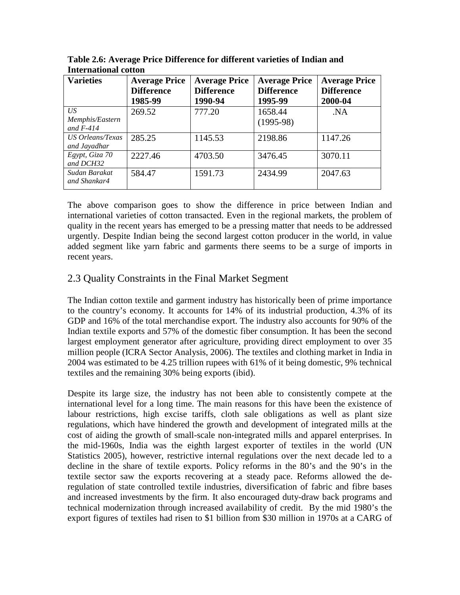| <b>Varieties</b>                     | <b>Average Price</b><br><b>Difference</b> | <b>Average Price</b><br><b>Difference</b> | <b>Average Price</b><br><b>Difference</b> | <b>Average Price</b><br><b>Difference</b> |
|--------------------------------------|-------------------------------------------|-------------------------------------------|-------------------------------------------|-------------------------------------------|
|                                      | 1985-99                                   | 1990-94                                   | 1995-99                                   | 2000-04                                   |
| US<br>Memphis/Eastern<br>and $F-414$ | 269.52                                    | 777.20                                    | 1658.44<br>$(1995-98)$                    | .NA                                       |
| US Orleans/Texas<br>and Jayadhar     | 285.25                                    | 1145.53                                   | 2198.86                                   | 1147.26                                   |
| Egypt, Giza 70<br>and DCH32          | 2227.46                                   | 4703.50                                   | 3476.45                                   | 3070.11                                   |
| Sudan Barakat<br>and Shankar4        | 584.47                                    | 1591.73                                   | 2434.99                                   | 2047.63                                   |

**Table 2.6: Average Price Difference for different varieties of Indian and International cotton** 

The above comparison goes to show the difference in price between Indian and international varieties of cotton transacted. Even in the regional markets, the problem of quality in the recent years has emerged to be a pressing matter that needs to be addressed urgently. Despite Indian being the second largest cotton producer in the world, in value added segment like yarn fabric and garments there seems to be a surge of imports in recent years.

# 2.3 Quality Constraints in the Final Market Segment

The Indian cotton textile and garment industry has historically been of prime importance to the country's economy. It accounts for 14% of its industrial production, 4.3% of its GDP and 16% of the total merchandise export. The industry also accounts for 90% of the Indian textile exports and 57% of the domestic fiber consumption. It has been the second largest employment generator after agriculture, providing direct employment to over 35 million people (ICRA Sector Analysis, 2006). The textiles and clothing market in India in 2004 was estimated to be 4.25 trillion rupees with 61% of it being domestic, 9% technical textiles and the remaining 30% being exports (ibid).

Despite its large size, the industry has not been able to consistently compete at the international level for a long time. The main reasons for this have been the existence of labour restrictions, high excise tariffs, cloth sale obligations as well as plant size regulations, which have hindered the growth and development of integrated mills at the cost of aiding the growth of small-scale non-integrated mills and apparel enterprises. In the mid-1960s, India was the eighth largest exporter of textiles in the world (UN Statistics 2005), however, restrictive internal regulations over the next decade led to a decline in the share of textile exports. Policy reforms in the 80's and the 90's in the textile sector saw the exports recovering at a steady pace. Reforms allowed the deregulation of state controlled textile industries, diversification of fabric and fibre bases and increased investments by the firm. It also encouraged duty-draw back programs and technical modernization through increased availability of credit. By the mid 1980's the export figures of textiles had risen to \$1 billion from \$30 million in 1970s at a CARG of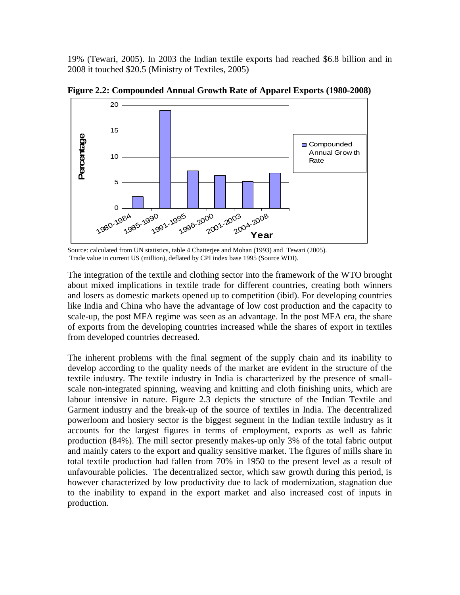19% (Tewari, 2005). In 2003 the Indian textile exports had reached \$6.8 billion and in 2008 it touched \$20.5 (Ministry of Textiles, 2005)



**Figure 2.2: Compounded Annual Growth Rate of Apparel Exports (1980-2008)** 

Source: calculated from UN statistics, table 4 Chatterjee and Mohan (1993) and Tewari (2005). Trade value in current US (million), deflated by CPI index base 1995 (Source WDI).

The integration of the textile and clothing sector into the framework of the WTO brought about mixed implications in textile trade for different countries, creating both winners and losers as domestic markets opened up to competition (ibid). For developing countries like India and China who have the advantage of low cost production and the capacity to scale-up, the post MFA regime was seen as an advantage. In the post MFA era, the share of exports from the developing countries increased while the shares of export in textiles from developed countries decreased.

The inherent problems with the final segment of the supply chain and its inability to develop according to the quality needs of the market are evident in the structure of the textile industry. The textile industry in India is characterized by the presence of smallscale non-integrated spinning, weaving and knitting and cloth finishing units, which are labour intensive in nature. Figure 2.3 depicts the structure of the Indian Textile and Garment industry and the break-up of the source of textiles in India. The decentralized powerloom and hosiery sector is the biggest segment in the Indian textile industry as it accounts for the largest figures in terms of employment, exports as well as fabric production (84%). The mill sector presently makes-up only 3% of the total fabric output and mainly caters to the export and quality sensitive market. The figures of mills share in total textile production had fallen from 70% in 1950 to the present level as a result of unfavourable policies. The decentralized sector, which saw growth during this period, is however characterized by low productivity due to lack of modernization, stagnation due to the inability to expand in the export market and also increased cost of inputs in production.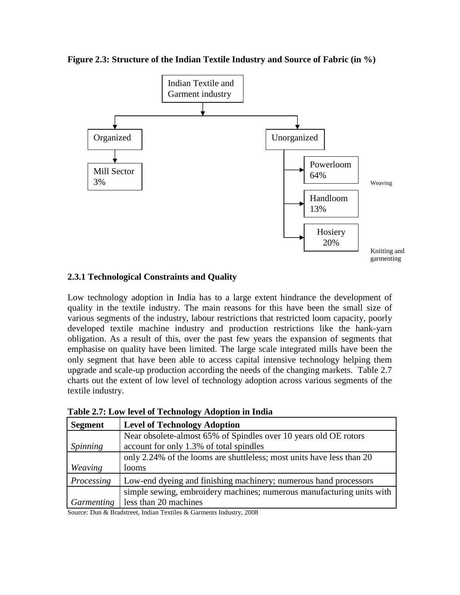**Figure 2.3: Structure of the Indian Textile Industry and Source of Fabric (in %)** 



### **2.3.1 Technological Constraints and Quality**

Low technology adoption in India has to a large extent hindrance the development of quality in the textile industry. The main reasons for this have been the small size of various segments of the industry, labour restrictions that restricted loom capacity, poorly developed textile machine industry and production restrictions like the hank-yarn obligation. As a result of this, over the past few years the expansion of segments that emphasise on quality have been limited. The large scale integrated mills have been the only segment that have been able to access capital intensive technology helping them upgrade and scale-up production according the needs of the changing markets. Table 2.7 charts out the extent of low level of technology adoption across various segments of the textile industry.

| <b>Segment</b>    | <b>Level of Technology Adoption</b>                                   |
|-------------------|-----------------------------------------------------------------------|
|                   | Near obsolete-almost 65% of Spindles over 10 years old OE rotors      |
| Spinning          | account for only 1.3% of total spindles                               |
|                   | only 2.24% of the looms are shuttleless; most units have less than 20 |
| Weaving           | looms                                                                 |
| Processing        | Low-end dyeing and finishing machinery; numerous hand processors      |
|                   | simple sewing, embroidery machines; numerous manufacturing units with |
| <i>Garmenting</i> | less than 20 machines                                                 |

**Table 2.7: Low level of Technology Adoption in India** 

Source: Dun & Bradstreet, Indian Textiles & Garments Industry, 2008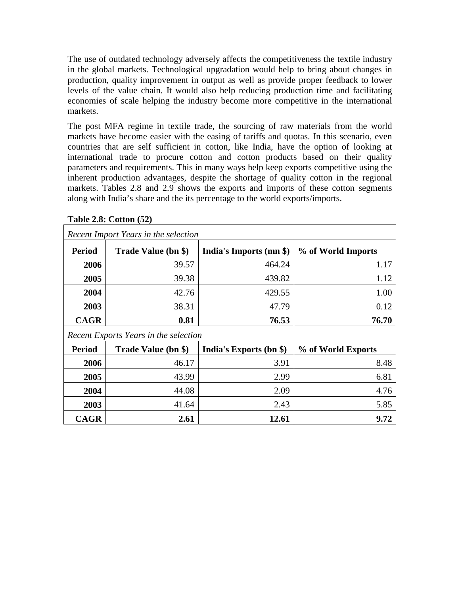The use of outdated technology adversely affects the competitiveness the textile industry in the global markets. Technological upgradation would help to bring about changes in production, quality improvement in output as well as provide proper feedback to lower levels of the value chain. It would also help reducing production time and facilitating economies of scale helping the industry become more competitive in the international markets.

The post MFA regime in textile trade, the sourcing of raw materials from the world markets have become easier with the easing of tariffs and quotas. In this scenario, even countries that are self sufficient in cotton, like India, have the option of looking at international trade to procure cotton and cotton products based on their quality parameters and requirements. This in many ways help keep exports competitive using the inherent production advantages, despite the shortage of quality cotton in the regional markets. Tables 2.8 and 2.9 shows the exports and imports of these cotton segments along with India's share and the its percentage to the world exports/imports.

| Recent Import Years in the selection |                                       |                         |                    |  |  |  |
|--------------------------------------|---------------------------------------|-------------------------|--------------------|--|--|--|
| <b>Period</b>                        | Trade Value (bn \$)                   | India's Imports (mn \$) | % of World Imports |  |  |  |
| 2006                                 | 39.57                                 | 464.24                  | 1.17               |  |  |  |
| 2005                                 | 39.38                                 | 439.82                  | 1.12               |  |  |  |
| 2004                                 | 42.76                                 | 429.55                  | 1.00               |  |  |  |
| 2003                                 | 38.31                                 | 47.79                   | 0.12               |  |  |  |
| <b>CAGR</b>                          | 0.81                                  | 76.53                   | 76.70              |  |  |  |
|                                      | Recent Exports Years in the selection |                         |                    |  |  |  |
| <b>Period</b>                        | Trade Value (bn \$)                   | India's Exports (bn \$) | % of World Exports |  |  |  |
| 2006                                 | 46.17                                 | 3.91                    | 8.48               |  |  |  |
| 2005                                 | 43.99                                 | 2.99                    | 6.81               |  |  |  |
| 2004                                 | 44.08                                 | 2.09                    | 4.76               |  |  |  |
| 2003                                 | 41.64                                 | 2.43                    | 5.85               |  |  |  |
| <b>CAGR</b>                          | 2.61                                  | 12.61                   | 9.72               |  |  |  |

# **Table 2.8: Cotton (52)**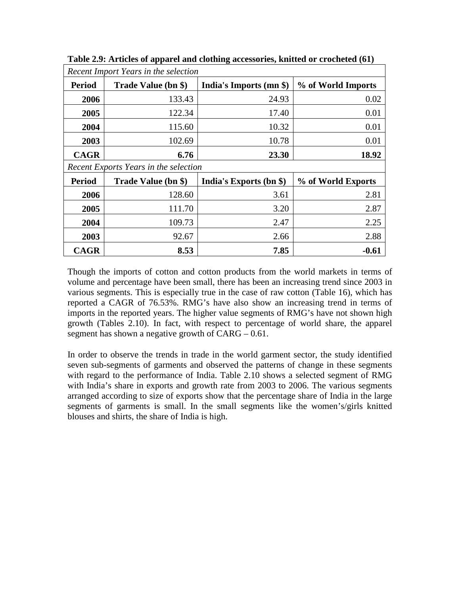| Recent Import Years in the selection |                                       |                         |                    |  |  |  |
|--------------------------------------|---------------------------------------|-------------------------|--------------------|--|--|--|
| <b>Period</b>                        | Trade Value (bn \$)                   | India's Imports (mn \$) | % of World Imports |  |  |  |
| 2006                                 | 133.43                                | 24.93                   | 0.02               |  |  |  |
| 2005                                 | 122.34                                | 17.40                   | 0.01               |  |  |  |
| 2004                                 | 115.60                                | 10.32                   | 0.01               |  |  |  |
| 2003                                 | 102.69                                | 10.78                   | 0.01               |  |  |  |
| <b>CAGR</b>                          | 6.76                                  | 23.30                   | 18.92              |  |  |  |
|                                      | Recent Exports Years in the selection |                         |                    |  |  |  |
| <b>Period</b>                        | Trade Value (bn \$)                   | India's Exports (bn \$) | % of World Exports |  |  |  |
| 2006                                 | 128.60                                | 3.61                    | 2.81               |  |  |  |
| 2005                                 | 111.70                                | 3.20                    | 2.87               |  |  |  |
| 2004                                 | 109.73                                | 2.47                    | 2.25               |  |  |  |
| 2003                                 | 92.67                                 | 2.66                    | 2.88               |  |  |  |
| <b>CAGR</b>                          | 8.53                                  | 7.85                    | $-0.61$            |  |  |  |

**Table 2.9: Articles of apparel and clothing accessories, knitted or crocheted (61)**

Though the imports of cotton and cotton products from the world markets in terms of volume and percentage have been small, there has been an increasing trend since 2003 in various segments. This is especially true in the case of raw cotton (Table 16), which has reported a CAGR of 76.53%. RMG's have also show an increasing trend in terms of imports in the reported years. The higher value segments of RMG's have not shown high growth (Tables 2.10). In fact, with respect to percentage of world share, the apparel segment has shown a negative growth of  $CARG - 0.61$ .

In order to observe the trends in trade in the world garment sector, the study identified seven sub-segments of garments and observed the patterns of change in these segments with regard to the performance of India. Table 2.10 shows a selected segment of RMG with India's share in exports and growth rate from 2003 to 2006. The various segments arranged according to size of exports show that the percentage share of India in the large segments of garments is small. In the small segments like the women's/girls knitted blouses and shirts, the share of India is high.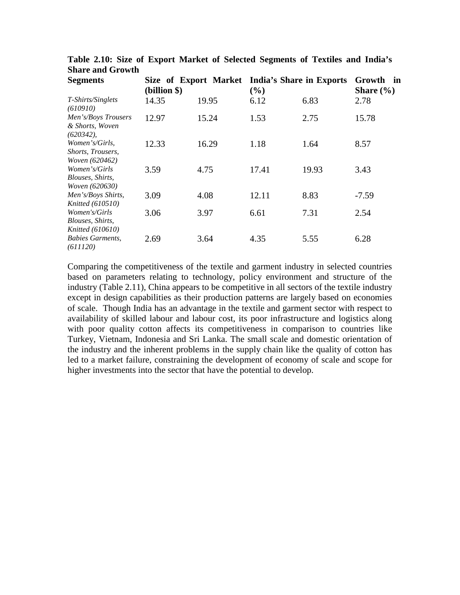| <b>Segments</b>                                                     | (billion \$) | Size of Export Market | (%)   | India's Share in Exports | Growth<br>in<br>Share $(\% )$ |
|---------------------------------------------------------------------|--------------|-----------------------|-------|--------------------------|-------------------------------|
| T-Shirts/Singlets<br>(610910)                                       | 14.35        | 19.95                 | 6.12  | 6.83                     | 2.78                          |
| Men's/Boys Trousers<br>& Shorts, Woven<br>$(620342)$ ,              | 12.97        | 15.24                 | 1.53  | 2.75                     | 15.78                         |
| Women's/Girls.<br>Shorts, Trousers,<br><i>Woven</i> (620462)        | 12.33        | 16.29                 | 1.18  | 1.64                     | 8.57                          |
| Women's/Girls<br>Blouses, Shirts,<br><i>Woven</i> (620630)          | 3.59         | 4.75                  | 17.41 | 19.93                    | 3.43                          |
| Men's/Boys Shirts,<br><i>Knitted</i> (610510)                       | 3.09         | 4.08                  | 12.11 | 8.83                     | $-7.59$                       |
| Women's/Girls<br><i>Blouses, Shirts,</i><br><i>Knitted</i> (610610) | 3.06         | 3.97                  | 6.61  | 7.31                     | 2.54                          |
| <b>Babies Garments,</b><br>(611120)                                 | 2.69         | 3.64                  | 4.35  | 5.55                     | 6.28                          |

**Table 2.10: Size of Export Market of Selected Segments of Textiles and India's Share and Growth** 

Comparing the competitiveness of the textile and garment industry in selected countries based on parameters relating to technology, policy environment and structure of the industry (Table 2.11), China appears to be competitive in all sectors of the textile industry except in design capabilities as their production patterns are largely based on economies of scale. Though India has an advantage in the textile and garment sector with respect to availability of skilled labour and labour cost, its poor infrastructure and logistics along with poor quality cotton affects its competitiveness in comparison to countries like Turkey, Vietnam, Indonesia and Sri Lanka. The small scale and domestic orientation of the industry and the inherent problems in the supply chain like the quality of cotton has led to a market failure, constraining the development of economy of scale and scope for higher investments into the sector that have the potential to develop.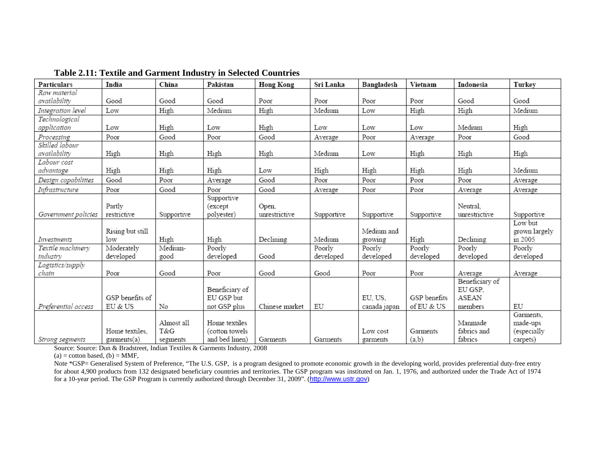| Particulars               | India                 | China      | Pakistan                            | <b>Hong Kong</b>       | Sri Lanka  | Bangladesh   | Vietnam      | Indonesia                                 | Turkey                |
|---------------------------|-----------------------|------------|-------------------------------------|------------------------|------------|--------------|--------------|-------------------------------------------|-----------------------|
| Raw material              |                       |            |                                     |                        |            |              |              |                                           |                       |
| availability              | Good                  | Good       | Good                                | Poor                   | Poor       | Poor         | Poor         | Good                                      | Good                  |
| Integration level         | Low                   | High       | Medium                              | High                   | Medium     | Low          | High         | High                                      | Medium                |
| Technological             |                       |            |                                     |                        |            |              |              |                                           |                       |
| application               | Low                   | High       | Low                                 | High                   | Low        | Low          | Low          | Medium                                    | High                  |
| Processing                | Poor                  | Good       | Poor                                | Good                   | Average    | Poor         | Average      | Poor                                      | Good                  |
| Skilled labour            |                       |            |                                     |                        |            |              |              |                                           |                       |
| availability              | High                  | High       | High                                | High                   | Medium     | Low          | High         | High                                      | High                  |
| Labour cost               |                       |            |                                     |                        |            |              |              |                                           |                       |
| advantage                 | High                  | High       | High                                | Low                    | High       | High         | High         | High                                      | Medium                |
| Design capabilities       | Good                  | Poor       | Average                             | Good                   | Poor       | Poor         | Poor         | Poor                                      | Average               |
| Infrastructure            | Poor                  | Good       | Poor                                | Good                   | Average    | Poor         | Poor         | Average                                   | Average               |
| Government policies       | Partly<br>restrictive | Supportive | Supportive<br>(except<br>polyester) | Open,<br>unrestrictive | Supportive | Supportive   | Supportive   | Neutral.<br>unrestrictive                 | Supportive            |
|                           |                       |            |                                     |                        |            |              |              |                                           | Low but               |
|                           | Rising but still      |            |                                     |                        |            | Medium and   |              |                                           | grown largely         |
| Investments               | low                   | High       | High                                | Declining              | Medium     | growing      | High         | Declining                                 | in 2005               |
| Textile machinery         | Moderately            | Medium-    | Poorly                              |                        | Poorly     | Poorly       | Poorly       | Poorly                                    | Poorly                |
| industry                  | developed             | good       | developed                           | Good                   | developed  | developed    | developed    | developed                                 | developed             |
| Logistics/supply<br>chain | Poor                  | Good       | Poor                                | Good                   | Good       | Poor         | Poor         | Average                                   | Average               |
|                           | GSP benefits of       |            | Beneficiary of<br>EU GSP but        |                        |            | EU, US.      | GSP benefits | Beneficiary of<br>EU GSP.<br><b>ASEAN</b> |                       |
| Preferential access       | EU & US               | No         | not GSP plus                        | Chinese market         | EU         | canada japan | of EU & US   | members                                   | EU                    |
|                           |                       | Almost all | Home textiles                       |                        |            |              |              | Manmade                                   | Garments.<br>made-ups |
|                           | Home textiles.        | T&G        | (cotton towels                      |                        |            | Low cost     | Garments     | fabrics and                               | (especially           |
| Strong segments           | garments(a)           | segments   | and bed linen)                      | Garments               | Garments   | garments     | (a,b)        | fabrics                                   | carpets)              |

**Table 2.11: Textile and Garment Industry in Selected Countries** 

Source: Source: Dun & Bradstreet, Indian Textiles & Garments Industry, 2008

 $(a)$  = cotton based,  $(b)$  = MMF,

Note \*GSP= Generalised System of Preference, "The U.S. GSP, is a program designed to promote economic growth in the developing world, provides preferential duty-free entry for about 4,900 products from 132 designated beneficiary countries and territories. The GSP program was instituted on Jan. 1, 1976, and authorized under the Trade Act of 1974 for a 10-year period. The GSP Program is currently authorized through December 31, 2009". (http://www.ustr.gov)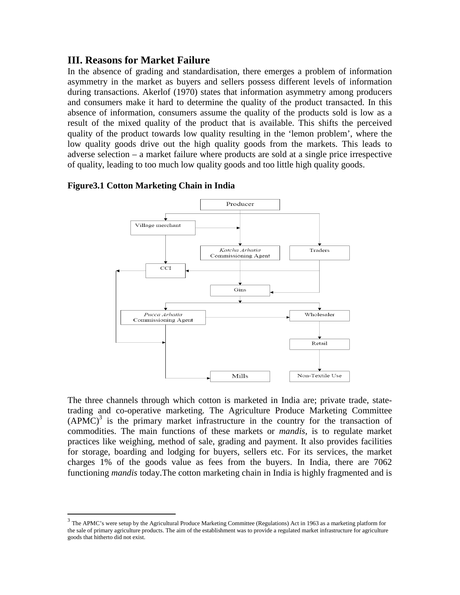### **III. Reasons for Market Failure**

In the absence of grading and standardisation, there emerges a problem of information asymmetry in the market as buyers and sellers possess different levels of information during transactions. Akerlof (1970) states that information asymmetry among producers and consumers make it hard to determine the quality of the product transacted. In this absence of information, consumers assume the quality of the products sold is low as a result of the mixed quality of the product that is available. This shifts the perceived quality of the product towards low quality resulting in the 'lemon problem', where the low quality goods drive out the high quality goods from the markets. This leads to adverse selection – a market failure where products are sold at a single price irrespective of quality, leading to too much low quality goods and too little high quality goods.



#### **Figure3.1 Cotton Marketing Chain in India**

<u>.</u>

The three channels through which cotton is marketed in India are; private trade, statetrading and co-operative marketing. The Agriculture Produce Marketing Committee  $(APMC)^3$  is the primary market infrastructure in the country for the transaction of commodities. The main functions of these markets or *mandis*, is to regulate market practices like weighing, method of sale, grading and payment. It also provides facilities for storage, boarding and lodging for buyers, sellers etc. For its services, the market charges 1% of the goods value as fees from the buyers. In India, there are 7062 functioning *mandis* today.The cotton marketing chain in India is highly fragmented and is

 $3$  The APMC's were setup by the Agricultural Produce Marketing Committee (Regulations) Act in 1963 as a marketing platform for the sale of primary agriculture products. The aim of the establishment was to provide a regulated market infrastructure for agriculture goods that hitherto did not exist.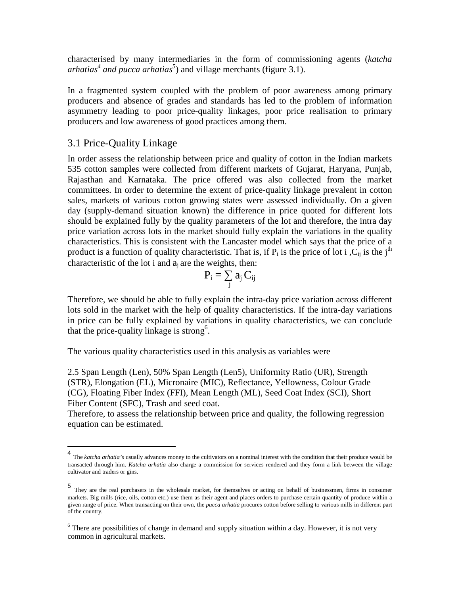characterised by many intermediaries in the form of commissioning agents (*katcha arhatias<sup>4</sup> and pucca arhatias<sup>5</sup>* ) and village merchants (figure 3.1).

In a fragmented system coupled with the problem of poor awareness among primary producers and absence of grades and standards has led to the problem of information asymmetry leading to poor price-quality linkages, poor price realisation to primary producers and low awareness of good practices among them.

### 3.1 Price-Quality Linkage

In order assess the relationship between price and quality of cotton in the Indian markets 535 cotton samples were collected from different markets of Gujarat, Haryana, Punjab, Rajasthan and Karnataka. The price offered was also collected from the market committees. In order to determine the extent of price-quality linkage prevalent in cotton sales, markets of various cotton growing states were assessed individually. On a given day (supply-demand situation known) the difference in price quoted for different lots should be explained fully by the quality parameters of the lot and therefore, the intra day price variation across lots in the market should fully explain the variations in the quality characteristics. This is consistent with the Lancaster model which says that the price of a product is a function of quality characteristic. That is, if  $P_i$  is the price of lot i ,  $C_{ij}$  is the j<sup>th</sup> characteristic of the lot i and  $a_i$  are the weights, then:

$$
P_i = \sum_j \, a_j \, C_{ij}
$$

Therefore, we should be able to fully explain the intra-day price variation across different lots sold in the market with the help of quality characteristics. If the intra-day variations in price can be fully explained by variations in quality characteristics, we can conclude that the price-quality linkage is strong<sup>6</sup>.

The various quality characteristics used in this analysis as variables were

2.5 Span Length (Len), 50% Span Length (Len5), Uniformity Ratio (UR), Strength (STR), Elongation (EL), Micronaire (MIC), Reflectance, Yellowness, Colour Grade (CG), Floating Fiber Index (FFI), Mean Length (ML), Seed Coat Index (SCI), Short Fiber Content (SFC), Trash and seed coat.

Therefore, to assess the relationship between price and quality, the following regression equation can be estimated.

 4 The *katcha arhatia's* usually advances money to the cultivators on a nominal interest with the condition that their produce would be transacted through him. *Katcha arhatia* also charge a commission for services rendered and they form a link between the village cultivator and traders or gins.

<sup>5</sup> They are the real purchasers in the wholesale market, for themselves or acting on behalf of businessmen, firms in consumer markets. Big mills (rice, oils, cotton etc.) use them as their agent and places orders to purchase certain quantity of produce within a given range of price. When transacting on their own, the *pucca arhatia* procures cotton before selling to various mills in different part of the country.

 $6$  There are possibilities of change in demand and supply situation within a day. However, it is not very common in agricultural markets.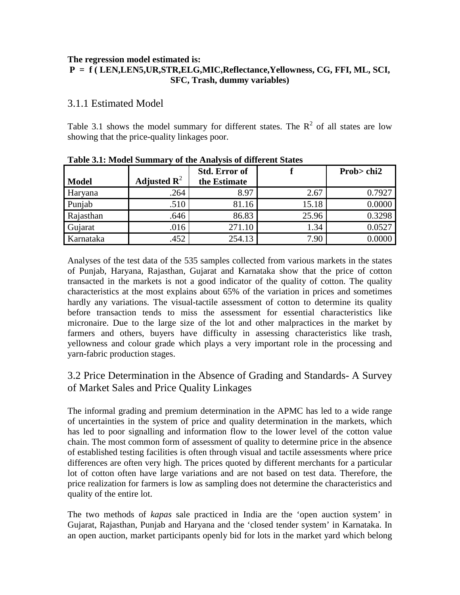#### **The regression model estimated is:**

### **P = f ( LEN,LEN5,UR,STR,ELG,MIC,Reflectance,Yellowness, CG, FFI, ML, SCI, SFC, Trash, dummy variables)**

# 3.1.1 Estimated Model

Table 3.1 shows the model summary for different states. The  $R^2$  of all states are low showing that the price-quality linkages poor.

|              |                         | <b>Std. Error of</b> |       | Prob> chi2 |
|--------------|-------------------------|----------------------|-------|------------|
| <b>Model</b> | Adjusted $\mathbf{R}^2$ | the Estimate         |       |            |
| Haryana      | .264                    | 8.97                 | 2.67  | 0.7927     |
| Punjab       | .510                    | 81.16                | 15.18 | 0.0000     |
| Rajasthan    | .646                    | 86.83                | 25.96 | 0.3298     |
| Gujarat      | .016                    | 271.10               | 1.34  | 0.0527     |
| Karnataka    | .452                    | 254.13               | 7.90  |            |

**Table 3.1: Model Summary of the Analysis of different States** 

Analyses of the test data of the 535 samples collected from various markets in the states of Punjab, Haryana, Rajasthan, Gujarat and Karnataka show that the price of cotton transacted in the markets is not a good indicator of the quality of cotton. The quality characteristics at the most explains about 65% of the variation in prices and sometimes hardly any variations. The visual-tactile assessment of cotton to determine its quality before transaction tends to miss the assessment for essential characteristics like micronaire. Due to the large size of the lot and other malpractices in the market by farmers and others, buyers have difficulty in assessing characteristics like trash, yellowness and colour grade which plays a very important role in the processing and yarn-fabric production stages.

# 3.2 Price Determination in the Absence of Grading and Standards- A Survey of Market Sales and Price Quality Linkages

The informal grading and premium determination in the APMC has led to a wide range of uncertainties in the system of price and quality determination in the markets, which has led to poor signalling and information flow to the lower level of the cotton value chain. The most common form of assessment of quality to determine price in the absence of established testing facilities is often through visual and tactile assessments where price differences are often very high. The prices quoted by different merchants for a particular lot of cotton often have large variations and are not based on test data. Therefore, the price realization for farmers is low as sampling does not determine the characteristics and quality of the entire lot.

The two methods of *kapas* sale practiced in India are the 'open auction system' in Gujarat, Rajasthan, Punjab and Haryana and the 'closed tender system' in Karnataka. In an open auction, market participants openly bid for lots in the market yard which belong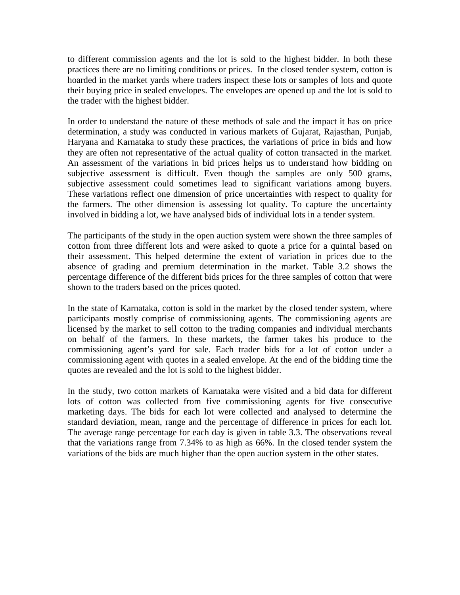to different commission agents and the lot is sold to the highest bidder. In both these practices there are no limiting conditions or prices. In the closed tender system, cotton is hoarded in the market yards where traders inspect these lots or samples of lots and quote their buying price in sealed envelopes. The envelopes are opened up and the lot is sold to the trader with the highest bidder.

In order to understand the nature of these methods of sale and the impact it has on price determination, a study was conducted in various markets of Gujarat, Rajasthan, Punjab, Haryana and Karnataka to study these practices, the variations of price in bids and how they are often not representative of the actual quality of cotton transacted in the market. An assessment of the variations in bid prices helps us to understand how bidding on subjective assessment is difficult. Even though the samples are only 500 grams, subjective assessment could sometimes lead to significant variations among buyers. These variations reflect one dimension of price uncertainties with respect to quality for the farmers. The other dimension is assessing lot quality. To capture the uncertainty involved in bidding a lot, we have analysed bids of individual lots in a tender system.

The participants of the study in the open auction system were shown the three samples of cotton from three different lots and were asked to quote a price for a quintal based on their assessment. This helped determine the extent of variation in prices due to the absence of grading and premium determination in the market. Table 3.2 shows the percentage difference of the different bids prices for the three samples of cotton that were shown to the traders based on the prices quoted.

In the state of Karnataka, cotton is sold in the market by the closed tender system, where participants mostly comprise of commissioning agents. The commissioning agents are licensed by the market to sell cotton to the trading companies and individual merchants on behalf of the farmers. In these markets, the farmer takes his produce to the commissioning agent's yard for sale. Each trader bids for a lot of cotton under a commissioning agent with quotes in a sealed envelope. At the end of the bidding time the quotes are revealed and the lot is sold to the highest bidder.

In the study, two cotton markets of Karnataka were visited and a bid data for different lots of cotton was collected from five commissioning agents for five consecutive marketing days. The bids for each lot were collected and analysed to determine the standard deviation, mean, range and the percentage of difference in prices for each lot. The average range percentage for each day is given in table 3.3. The observations reveal that the variations range from 7.34% to as high as 66%. In the closed tender system the variations of the bids are much higher than the open auction system in the other states.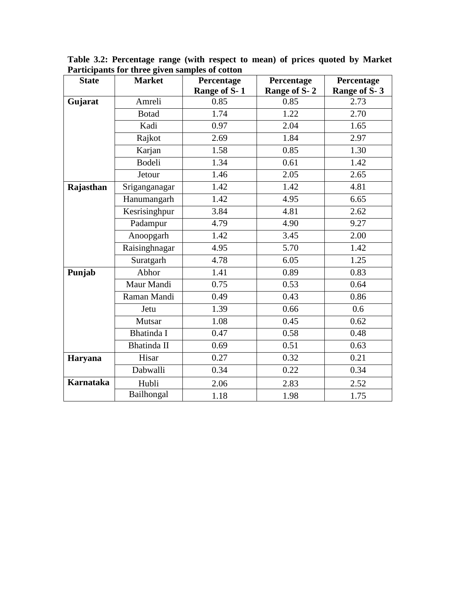| <b>State</b>     | <b>Market</b> | Percentage   | Percentage   | Percentage   |
|------------------|---------------|--------------|--------------|--------------|
|                  |               | Range of S-1 | Range of S-2 | Range of S-3 |
| Gujarat          | Amreli        | 0.85         | 0.85         | 2.73         |
|                  | <b>Botad</b>  | 1.74         | 1.22         | 2.70         |
|                  | Kadi          | 0.97         | 2.04         | 1.65         |
|                  | Rajkot        | 2.69         | 1.84         | 2.97         |
|                  | Karjan        | 1.58         | 0.85         | 1.30         |
|                  | <b>Bodeli</b> | 1.34         | 0.61         | 1.42         |
|                  | Jetour        | 1.46         | 2.05         | 2.65         |
| Rajasthan        | Sriganganagar | 1.42         | 1.42         | 4.81         |
|                  | Hanumangarh   | 1.42         | 4.95         | 6.65         |
|                  | Kesrisinghpur | 3.84         | 4.81         | 2.62         |
|                  | Padampur      | 4.79         | 4.90         | 9.27         |
|                  | Anoopgarh     | 1.42         | 3.45         | 2.00         |
|                  | Raisinghnagar | 4.95         | 5.70         | 1.42         |
|                  | Suratgarh     | 4.78         | 6.05         | 1.25         |
| Punjab           | Abhor         | 1.41         | 0.89         | 0.83         |
|                  | Maur Mandi    | 0.75         | 0.53         | 0.64         |
|                  | Raman Mandi   | 0.49         | 0.43         | 0.86         |
|                  | Jetu          | 1.39         | 0.66         | 0.6          |
|                  | Mutsar        | 1.08         | 0.45         | 0.62         |
|                  | Bhatinda I    | 0.47         | 0.58         | 0.48         |
|                  | Bhatinda II   | 0.69         | 0.51         | 0.63         |
| Haryana          | Hisar         | 0.27         | 0.32         | 0.21         |
|                  | Dabwalli      | 0.34         | 0.22         | 0.34         |
| <b>Karnataka</b> | Hubli         | 2.06         | 2.83         | 2.52         |
|                  | Bailhongal    | 1.18         | 1.98         | 1.75         |

**Table 3.2: Percentage range (with respect to mean) of prices quoted by Market Participants for three given samples of cotton**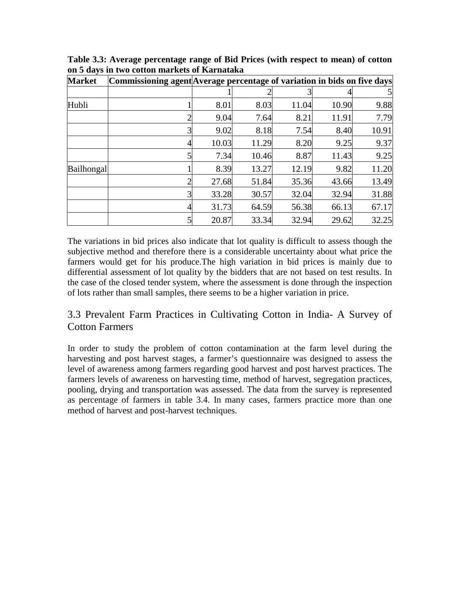| <b>Market</b> | Commissioning agent Average percentage of variation in bids on five days |       |       |       |       |       |
|---------------|--------------------------------------------------------------------------|-------|-------|-------|-------|-------|
|               |                                                                          |       |       |       |       |       |
| Hubli         |                                                                          | 8.01  | 8.03  | 11.04 | 10.90 | 9.88  |
|               |                                                                          | 9.04  | 7.64  | 8.21  | 11.91 | 7.79  |
|               | 3                                                                        | 9.02  | 8.18  | 7.54  | 8.40  | 10.91 |
|               |                                                                          | 10.03 | 11.29 | 8.20  | 9.25  | 9.37  |
|               | 5                                                                        | 7.34  | 10.46 | 8.87  | 11.43 | 9.25  |
| Bailhongal    |                                                                          | 8.39  | 13.27 | 12.19 | 9.82  | 11.20 |
|               | ∍                                                                        | 27.68 | 51.84 | 35.36 | 43.66 | 13.49 |
|               | $\overline{3}$                                                           | 33.28 | 30.57 | 32.04 | 32.94 | 31.88 |
|               | 4                                                                        | 31.73 | 64.59 | 56.38 | 66.13 | 67.17 |
|               | 5                                                                        | 20.87 | 33.34 | 32.94 | 29.62 | 32.25 |

**Table 3.3: Average percentage range of Bid Prices (with respect to mean) of cotton on 5 days in two cotton markets of Karnataka** 

The variations in bid prices also indicate that lot quality is difficult to assess though the subjective method and therefore there is a considerable uncertainty about what price the farmers would get for his produce.The high variation in bid prices is mainly due to differential assessment of lot quality by the bidders that are not based on test results. In the case of the closed tender system, where the assessment is done through the inspection of lots rather than small samples, there seems to be a higher variation in price.

# 3.3 Prevalent Farm Practices in Cultivating Cotton in India- A Survey of Cotton Farmers

In order to study the problem of cotton contamination at the farm level during the harvesting and post harvest stages, a farmer's questionnaire was designed to assess the level of awareness among farmers regarding good harvest and post harvest practices. The farmers levels of awareness on harvesting time, method of harvest, segregation practices, pooling, drying and transportation was assessed. The data from the survey is represented as percentage of farmers in table 3.4. In many cases, farmers practice more than one method of harvest and post-harvest techniques.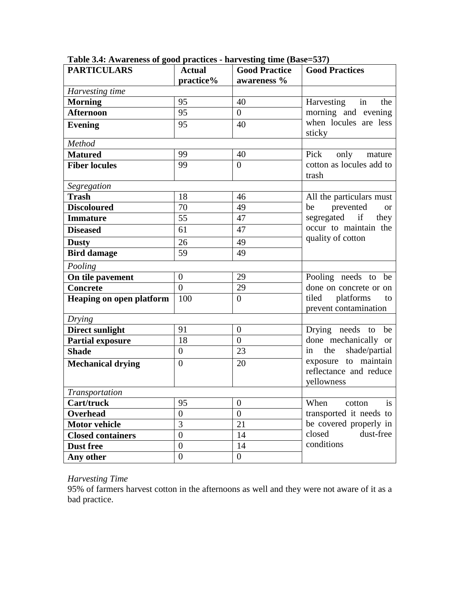| <b>PARTICULARS</b>              | <b>Actual</b>                     | <b>Good Practice</b> | <b>Good Practices</b>                                                                                                                    |  |  |  |  |  |
|---------------------------------|-----------------------------------|----------------------|------------------------------------------------------------------------------------------------------------------------------------------|--|--|--|--|--|
|                                 | practice%                         | awareness %          |                                                                                                                                          |  |  |  |  |  |
| Harvesting time                 |                                   |                      |                                                                                                                                          |  |  |  |  |  |
| <b>Morning</b>                  | 95                                | 40                   | Harvesting<br>in<br>the                                                                                                                  |  |  |  |  |  |
| <b>Afternoon</b>                | 95                                | $\overline{0}$       | morning and evening                                                                                                                      |  |  |  |  |  |
| <b>Evening</b>                  | 95                                | 40                   | when locules are less<br>sticky                                                                                                          |  |  |  |  |  |
| Method                          |                                   |                      |                                                                                                                                          |  |  |  |  |  |
| <b>Matured</b>                  | 99                                | 40                   | Pick only mature                                                                                                                         |  |  |  |  |  |
| <b>Fiber locules</b>            | 99<br>$\overline{0}$              |                      | cotton as locules add to<br>trash                                                                                                        |  |  |  |  |  |
| Segregation                     |                                   |                      |                                                                                                                                          |  |  |  |  |  |
| <b>Trash</b>                    | 18                                | 46                   | All the particulars must<br>prevented<br>be<br><sub>or</sub>                                                                             |  |  |  |  |  |
| <b>Discoloured</b>              | 70                                | 49                   |                                                                                                                                          |  |  |  |  |  |
| <b>Immature</b>                 | 55                                | 47                   | segregated if they                                                                                                                       |  |  |  |  |  |
| <b>Diseased</b>                 | 61                                | 47                   | occur to maintain the<br>quality of cotton                                                                                               |  |  |  |  |  |
| <b>Dusty</b>                    | 26                                | 49                   |                                                                                                                                          |  |  |  |  |  |
| <b>Bird damage</b>              | 59                                | 49                   |                                                                                                                                          |  |  |  |  |  |
| Pooling                         |                                   |                      |                                                                                                                                          |  |  |  |  |  |
| On tile pavement                | $\boldsymbol{0}$                  | 29                   | Pooling needs to be                                                                                                                      |  |  |  |  |  |
| <b>Concrete</b>                 | $\overline{0}$                    | 29                   | done on concrete or on<br>tiled platforms to<br>prevent contamination                                                                    |  |  |  |  |  |
| <b>Heaping on open platform</b> | 100                               | $\overline{0}$       |                                                                                                                                          |  |  |  |  |  |
| Drying                          |                                   |                      |                                                                                                                                          |  |  |  |  |  |
| <b>Direct sunlight</b>          | 91                                | $\overline{0}$       | Drying needs to be<br>done mechanically or<br>shade/partial<br>the<br>in<br>exposure to maintain<br>reflectance and reduce<br>yellowness |  |  |  |  |  |
| <b>Partial exposure</b>         | 18                                | $\overline{0}$       |                                                                                                                                          |  |  |  |  |  |
| <b>Shade</b>                    | $\boldsymbol{0}$                  | 23                   |                                                                                                                                          |  |  |  |  |  |
| <b>Mechanical drying</b>        | $\overline{0}$                    | 20                   |                                                                                                                                          |  |  |  |  |  |
| Transportation                  |                                   |                      |                                                                                                                                          |  |  |  |  |  |
| Cart/truck                      | $\overline{95}$<br>$\overline{0}$ |                      | is<br>When<br>cotton                                                                                                                     |  |  |  |  |  |
| Overhead                        | $\boldsymbol{0}$                  | $\boldsymbol{0}$     | transported it needs to<br>be covered properly in                                                                                        |  |  |  |  |  |
| <b>Motor vehicle</b>            | 3                                 | 21                   |                                                                                                                                          |  |  |  |  |  |
| <b>Closed containers</b>        | $\boldsymbol{0}$                  | 14                   | closed<br>dust-free<br>conditions                                                                                                        |  |  |  |  |  |
| <b>Dust free</b>                | $\overline{0}$                    | 14                   |                                                                                                                                          |  |  |  |  |  |
| Any other                       | $\overline{0}$                    | $\mathbf{0}$         |                                                                                                                                          |  |  |  |  |  |

**Table 3.4: Awareness of good practices - harvesting time (Base=537)** 

#### *Harvesting Time*

95% of farmers harvest cotton in the afternoons as well and they were not aware of it as a bad practice.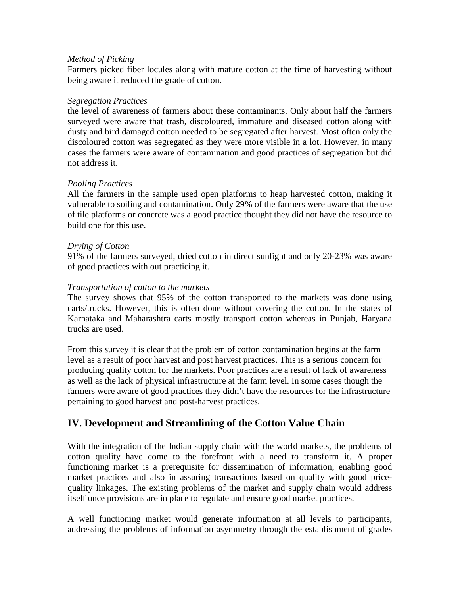#### *Method of Picking*

Farmers picked fiber locules along with mature cotton at the time of harvesting without being aware it reduced the grade of cotton.

#### *Segregation Practices*

the level of awareness of farmers about these contaminants. Only about half the farmers surveyed were aware that trash, discoloured, immature and diseased cotton along with dusty and bird damaged cotton needed to be segregated after harvest. Most often only the discoloured cotton was segregated as they were more visible in a lot. However, in many cases the farmers were aware of contamination and good practices of segregation but did not address it.

#### *Pooling Practices*

All the farmers in the sample used open platforms to heap harvested cotton, making it vulnerable to soiling and contamination. Only 29% of the farmers were aware that the use of tile platforms or concrete was a good practice thought they did not have the resource to build one for this use.

#### *Drying of Cotton*

91% of the farmers surveyed, dried cotton in direct sunlight and only 20-23% was aware of good practices with out practicing it.

#### *Transportation of cotton to the markets*

The survey shows that 95% of the cotton transported to the markets was done using carts/trucks. However, this is often done without covering the cotton. In the states of Karnataka and Maharashtra carts mostly transport cotton whereas in Punjab, Haryana trucks are used.

From this survey it is clear that the problem of cotton contamination begins at the farm level as a result of poor harvest and post harvest practices. This is a serious concern for producing quality cotton for the markets. Poor practices are a result of lack of awareness as well as the lack of physical infrastructure at the farm level. In some cases though the farmers were aware of good practices they didn't have the resources for the infrastructure pertaining to good harvest and post-harvest practices.

# **IV. Development and Streamlining of the Cotton Value Chain**

With the integration of the Indian supply chain with the world markets, the problems of cotton quality have come to the forefront with a need to transform it. A proper functioning market is a prerequisite for dissemination of information, enabling good market practices and also in assuring transactions based on quality with good pricequality linkages. The existing problems of the market and supply chain would address itself once provisions are in place to regulate and ensure good market practices.

A well functioning market would generate information at all levels to participants, addressing the problems of information asymmetry through the establishment of grades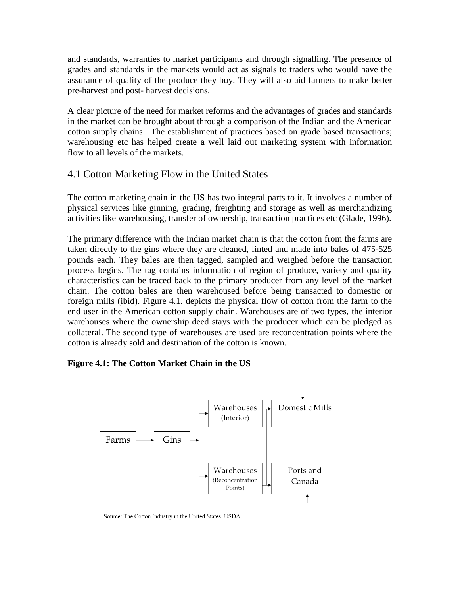and standards, warranties to market participants and through signalling. The presence of grades and standards in the markets would act as signals to traders who would have the assurance of quality of the produce they buy. They will also aid farmers to make better pre-harvest and post- harvest decisions.

A clear picture of the need for market reforms and the advantages of grades and standards in the market can be brought about through a comparison of the Indian and the American cotton supply chains. The establishment of practices based on grade based transactions; warehousing etc has helped create a well laid out marketing system with information flow to all levels of the markets.

# 4.1 Cotton Marketing Flow in the United States

The cotton marketing chain in the US has two integral parts to it. It involves a number of physical services like ginning, grading, freighting and storage as well as merchandizing activities like warehousing, transfer of ownership, transaction practices etc (Glade, 1996).

The primary difference with the Indian market chain is that the cotton from the farms are taken directly to the gins where they are cleaned, linted and made into bales of 475-525 pounds each. They bales are then tagged, sampled and weighed before the transaction process begins. The tag contains information of region of produce, variety and quality characteristics can be traced back to the primary producer from any level of the market chain. The cotton bales are then warehoused before being transacted to domestic or foreign mills (ibid). Figure 4.1. depicts the physical flow of cotton from the farm to the end user in the American cotton supply chain. Warehouses are of two types, the interior warehouses where the ownership deed stays with the producer which can be pledged as collateral. The second type of warehouses are used are reconcentration points where the cotton is already sold and destination of the cotton is known.

### **Figure 4.1: The Cotton Market Chain in the US**



Source: The Cotton Industry in the United States, USDA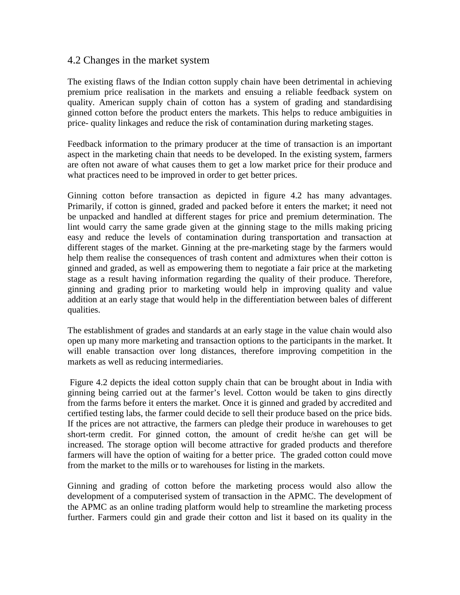### 4.2 Changes in the market system

The existing flaws of the Indian cotton supply chain have been detrimental in achieving premium price realisation in the markets and ensuing a reliable feedback system on quality. American supply chain of cotton has a system of grading and standardising ginned cotton before the product enters the markets. This helps to reduce ambiguities in price- quality linkages and reduce the risk of contamination during marketing stages.

Feedback information to the primary producer at the time of transaction is an important aspect in the marketing chain that needs to be developed. In the existing system, farmers are often not aware of what causes them to get a low market price for their produce and what practices need to be improved in order to get better prices.

Ginning cotton before transaction as depicted in figure 4.2 has many advantages. Primarily, if cotton is ginned, graded and packed before it enters the market; it need not be unpacked and handled at different stages for price and premium determination. The lint would carry the same grade given at the ginning stage to the mills making pricing easy and reduce the levels of contamination during transportation and transaction at different stages of the market. Ginning at the pre-marketing stage by the farmers would help them realise the consequences of trash content and admixtures when their cotton is ginned and graded, as well as empowering them to negotiate a fair price at the marketing stage as a result having information regarding the quality of their produce. Therefore, ginning and grading prior to marketing would help in improving quality and value addition at an early stage that would help in the differentiation between bales of different qualities.

The establishment of grades and standards at an early stage in the value chain would also open up many more marketing and transaction options to the participants in the market. It will enable transaction over long distances, therefore improving competition in the markets as well as reducing intermediaries.

 Figure 4.2 depicts the ideal cotton supply chain that can be brought about in India with ginning being carried out at the farmer's level. Cotton would be taken to gins directly from the farms before it enters the market. Once it is ginned and graded by accredited and certified testing labs, the farmer could decide to sell their produce based on the price bids. If the prices are not attractive, the farmers can pledge their produce in warehouses to get short-term credit. For ginned cotton, the amount of credit he/she can get will be increased. The storage option will become attractive for graded products and therefore farmers will have the option of waiting for a better price. The graded cotton could move from the market to the mills or to warehouses for listing in the markets.

Ginning and grading of cotton before the marketing process would also allow the development of a computerised system of transaction in the APMC. The development of the APMC as an online trading platform would help to streamline the marketing process further. Farmers could gin and grade their cotton and list it based on its quality in the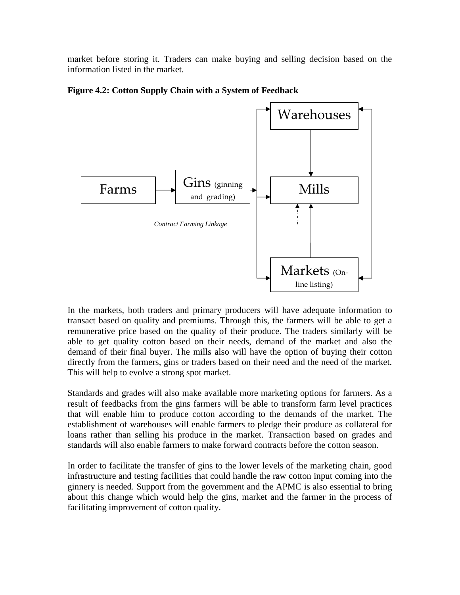market before storing it. Traders can make buying and selling decision based on the information listed in the market.





In the markets, both traders and primary producers will have adequate information to transact based on quality and premiums. Through this, the farmers will be able to get a remunerative price based on the quality of their produce. The traders similarly will be able to get quality cotton based on their needs, demand of the market and also the demand of their final buyer. The mills also will have the option of buying their cotton directly from the farmers, gins or traders based on their need and the need of the market. This will help to evolve a strong spot market.

Standards and grades will also make available more marketing options for farmers. As a result of feedbacks from the gins farmers will be able to transform farm level practices that will enable him to produce cotton according to the demands of the market. The establishment of warehouses will enable farmers to pledge their produce as collateral for loans rather than selling his produce in the market. Transaction based on grades and standards will also enable farmers to make forward contracts before the cotton season.

In order to facilitate the transfer of gins to the lower levels of the marketing chain, good infrastructure and testing facilities that could handle the raw cotton input coming into the ginnery is needed. Support from the government and the APMC is also essential to bring about this change which would help the gins, market and the farmer in the process of facilitating improvement of cotton quality.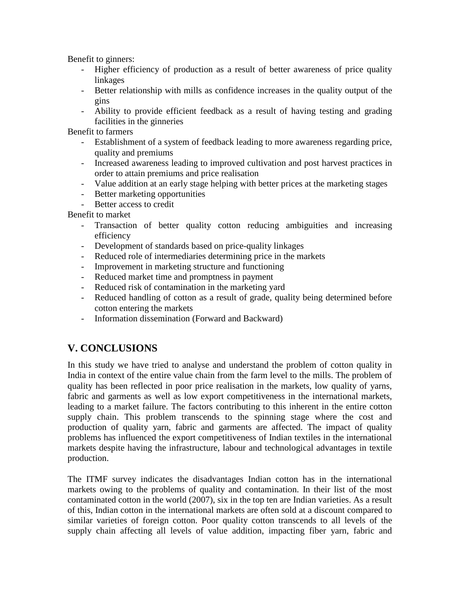Benefit to ginners:

- Higher efficiency of production as a result of better awareness of price quality linkages
- Better relationship with mills as confidence increases in the quality output of the gins
- Ability to provide efficient feedback as a result of having testing and grading facilities in the ginneries

Benefit to farmers

- Establishment of a system of feedback leading to more awareness regarding price, quality and premiums
- Increased awareness leading to improved cultivation and post harvest practices in order to attain premiums and price realisation
- Value addition at an early stage helping with better prices at the marketing stages
- Better marketing opportunities
- Better access to credit

Benefit to market

- Transaction of better quality cotton reducing ambiguities and increasing efficiency
- Development of standards based on price-quality linkages
- Reduced role of intermediaries determining price in the markets
- Improvement in marketing structure and functioning
- Reduced market time and promptness in payment
- Reduced risk of contamination in the marketing yard
- Reduced handling of cotton as a result of grade, quality being determined before cotton entering the markets
- Information dissemination (Forward and Backward)

# **V. CONCLUSIONS**

In this study we have tried to analyse and understand the problem of cotton quality in India in context of the entire value chain from the farm level to the mills. The problem of quality has been reflected in poor price realisation in the markets, low quality of yarns, fabric and garments as well as low export competitiveness in the international markets, leading to a market failure. The factors contributing to this inherent in the entire cotton supply chain. This problem transcends to the spinning stage where the cost and production of quality yarn, fabric and garments are affected. The impact of quality problems has influenced the export competitiveness of Indian textiles in the international markets despite having the infrastructure, labour and technological advantages in textile production.

The ITMF survey indicates the disadvantages Indian cotton has in the international markets owing to the problems of quality and contamination. In their list of the most contaminated cotton in the world (2007), six in the top ten are Indian varieties. As a result of this, Indian cotton in the international markets are often sold at a discount compared to similar varieties of foreign cotton. Poor quality cotton transcends to all levels of the supply chain affecting all levels of value addition, impacting fiber yarn, fabric and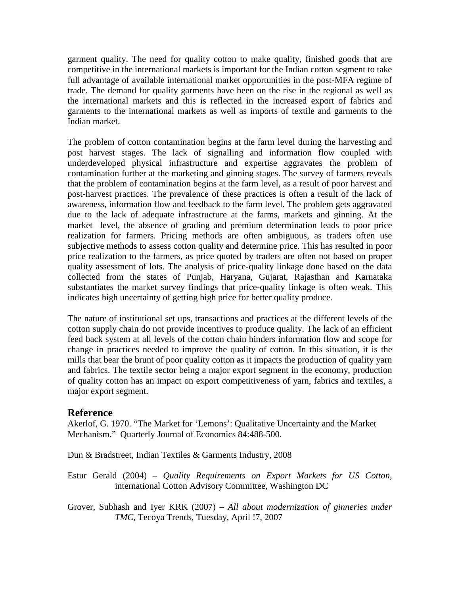garment quality. The need for quality cotton to make quality, finished goods that are competitive in the international markets is important for the Indian cotton segment to take full advantage of available international market opportunities in the post-MFA regime of trade. The demand for quality garments have been on the rise in the regional as well as the international markets and this is reflected in the increased export of fabrics and garments to the international markets as well as imports of textile and garments to the Indian market.

The problem of cotton contamination begins at the farm level during the harvesting and post harvest stages. The lack of signalling and information flow coupled with underdeveloped physical infrastructure and expertise aggravates the problem of contamination further at the marketing and ginning stages. The survey of farmers reveals that the problem of contamination begins at the farm level, as a result of poor harvest and post-harvest practices. The prevalence of these practices is often a result of the lack of awareness, information flow and feedback to the farm level. The problem gets aggravated due to the lack of adequate infrastructure at the farms, markets and ginning. At the market level, the absence of grading and premium determination leads to poor price realization for farmers. Pricing methods are often ambiguous, as traders often use subjective methods to assess cotton quality and determine price. This has resulted in poor price realization to the farmers, as price quoted by traders are often not based on proper quality assessment of lots. The analysis of price-quality linkage done based on the data collected from the states of Punjab, Haryana, Gujarat, Rajasthan and Karnataka substantiates the market survey findings that price-quality linkage is often weak. This indicates high uncertainty of getting high price for better quality produce.

The nature of institutional set ups, transactions and practices at the different levels of the cotton supply chain do not provide incentives to produce quality. The lack of an efficient feed back system at all levels of the cotton chain hinders information flow and scope for change in practices needed to improve the quality of cotton. In this situation, it is the mills that bear the brunt of poor quality cotton as it impacts the production of quality yarn and fabrics. The textile sector being a major export segment in the economy, production of quality cotton has an impact on export competitiveness of yarn, fabrics and textiles, a major export segment.

### **Reference**

Akerlof, G. 1970. "The Market for 'Lemons': Qualitative Uncertainty and the Market Mechanism." Quarterly Journal of Economics 84:488-500.

Dun & Bradstreet, Indian Textiles & Garments Industry, 2008

Estur Gerald (2004) – *Quality Requirements on Export Markets for US Cotton,*  international Cotton Advisory Committee, Washington DC

Grover, Subhash and Iyer KRK (2007) – *All about modernization of ginneries under TMC,* Tecoya Trends, Tuesday, April !7, 2007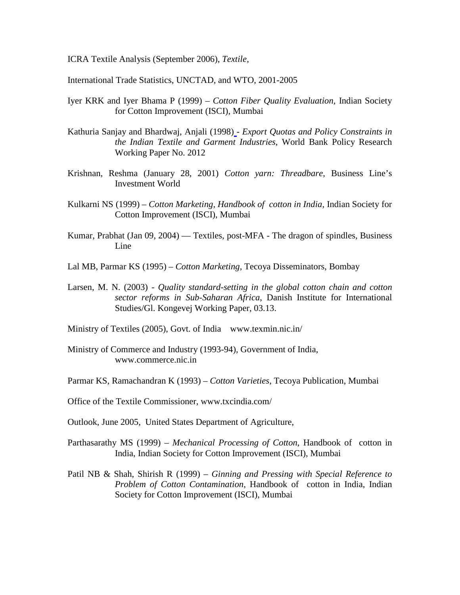ICRA Textile Analysis (September 2006), *Textile,*

International Trade Statistics, UNCTAD, and WTO, 2001-2005

- Iyer KRK and Iyer Bhama P (1999) *Cotton Fiber Quality Evaluation,* Indian Society for Cotton Improvement (ISCI), Mumbai
- Kathuria Sanjay and Bhardwaj, Anjali (1998) *Export Quotas and Policy Constraints in the Indian Textile and Garment Industries*, World Bank Policy Research Working Paper No. 2012
- Krishnan, Reshma (January 28, 2001) *Cotton yarn: Threadbare*, Business Line's Investment World
- Kulkarni NS (1999) *Cotton Marketing, Handbook of cotton in India,* Indian Society for Cotton Improvement (ISCI), Mumbai
- Kumar, Prabhat (Jan 09, 2004) Textiles, post-MFA The dragon of spindles, Business Line
- Lal MB, Parmar KS (1995) *Cotton Marketing,* Tecoya Disseminators, Bombay
- Larsen, M. N. (2003)  *Quality standard-setting in the global cotton chain and cotton sector reforms in Sub-Saharan Africa*, Danish Institute for International Studies/Gl. Kongevej Working Paper, 03.13.
- Ministry of Textiles (2005), Govt. of India www.texmin.nic.in/
- Ministry of Commerce and Industry (1993-94), Government of India, www.commerce.nic.in
- Parmar KS, Ramachandran K (1993) *Cotton Varieties,* Tecoya Publication, Mumbai
- Office of the Textile Commissioner, www.txcindia.com/
- Outlook, June 2005, United States Department of Agriculture,
- Parthasarathy MS (1999) *Mechanical Processing of Cotton*, Handbook of cotton in India, Indian Society for Cotton Improvement (ISCI), Mumbai
- Patil NB & Shah, Shirish R (1999) *Ginning and Pressing with Special Reference to Problem of Cotton Contamination*, Handbook of cotton in India, Indian Society for Cotton Improvement (ISCI), Mumbai